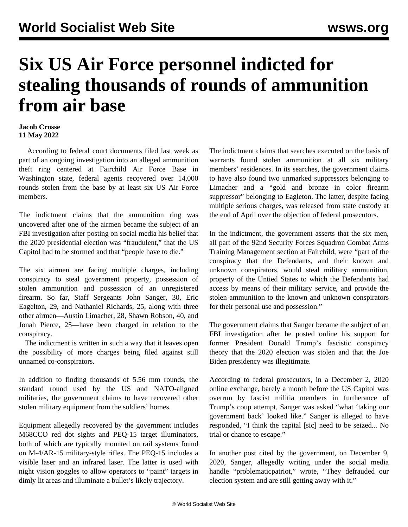## **Six US Air Force personnel indicted for stealing thousands of rounds of ammunition from air base**

## **Jacob Crosse 11 May 2022**

 According to federal court documents filed last week as part of an ongoing investigation into an alleged ammunition theft ring centered at Fairchild Air Force Base in Washington state, federal agents recovered over 14,000 rounds stolen from the base by at least six US Air Force members.

The indictment claims that the ammunition ring was uncovered after one of the airmen became the subject of an FBI investigation after posting on social media his belief that the 2020 presidential election was "fraudulent," that the US Capitol had to be stormed and that "people have to die."

The six airmen are facing multiple charges, including conspiracy to steal government property, possession of stolen ammunition and possession of an unregistered firearm. So far, Staff Sergeants John Sanger, 30, Eric Eagelton, 29, and Nathaniel Richards, 25, along with three other airmen—Austin Limacher, 28, Shawn Robson, 40, and Jonah Pierce, 25—have been charged in relation to the conspiracy.

 The indictment is written in such a way that it leaves open the possibility of more charges being filed against still unnamed co-conspirators.

In addition to finding thousands of 5.56 mm rounds, the standard round used by the US and NATO-aligned militaries, the government claims to have recovered other stolen military equipment from the soldiers' homes.

Equipment allegedly recovered by the government includes M68CCO red dot sights and PEQ-15 target illuminators, both of which are typically mounted on rail systems found on M-4/AR-15 military-style rifles. The PEQ-15 includes a visible laser and an infrared laser. The latter is used with night vision goggles to allow operators to "paint" targets in dimly lit areas and illuminate a bullet's likely trajectory.

The indictment claims that searches executed on the basis of warrants found stolen ammunition at all six military members' residences. In its searches, the government claims to have also found two unmarked suppressors belonging to Limacher and a "gold and bronze in color firearm suppressor" belonging to Eagleton. The latter, despite facing multiple serious charges, was released from state custody at the end of April over the objection of federal prosecutors.

In the indictment, the government asserts that the six men, all part of the 92nd Security Forces Squadron Combat Arms Training Management section at Fairchild, were "part of the conspiracy that the Defendants, and their known and unknown conspirators, would steal military ammunition, property of the Untied States to which the Defendants had access by means of their military service, and provide the stolen ammunition to the known and unknown conspirators for their personal use and possession."

The government claims that Sanger became the subject of an FBI investigation after he posted online his support for former President Donald Trump's fascistic conspiracy theory that the 2020 election was stolen and that the Joe Biden presidency was illegitimate.

According to federal prosecutors, in a December 2, 2020 online exchange, barely a month before the US Capitol was overrun by fascist militia members in furtherance of Trump's coup attempt, Sanger was asked "what 'taking our government back' looked like." Sanger is alleged to have responded, "I think the capital [sic] need to be seized... No trial or chance to escape."

In another post cited by the government, on December 9, 2020, Sanger, allegedly writing under the social media handle "problematicpatriot," wrote, "They defrauded our election system and are still getting away with it."